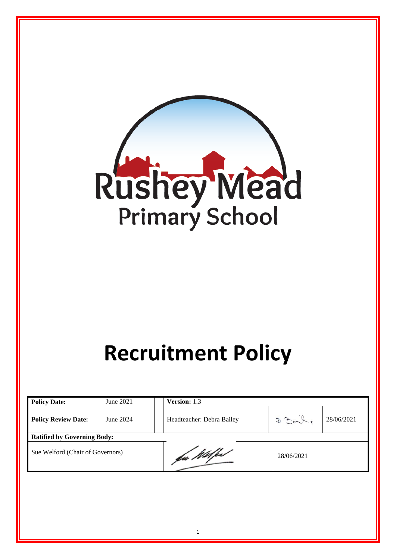

# **Recruitment Policy**

| <b>Policy Date:</b>                | June 2021 | Version: 1.3              |                     |  |  |
|------------------------------------|-----------|---------------------------|---------------------|--|--|
| <b>Policy Review Date:</b>         | June 2024 | Headteacher: Debra Bailey | D.304<br>28/06/2021 |  |  |
| <b>Ratified by Governing Body:</b> |           |                           |                     |  |  |
| Sue Welford (Chair of Governors)   |           | fac Willford              | 28/06/2021          |  |  |

1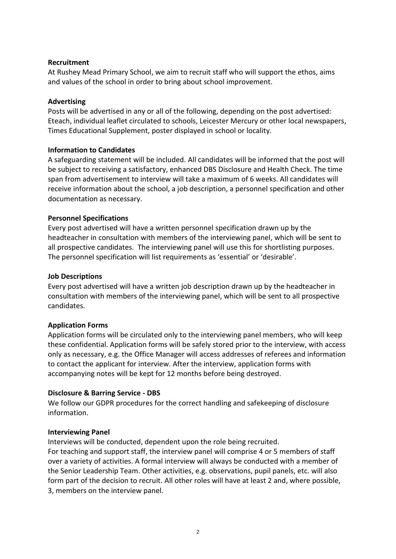## **Recruitment**

At Rushey Mead Primary School, we aim to recruit staff who will support the ethos, aims and values of the school in order to bring about school improvement.

## **Advertising**

Posts will be advertised in any or all of the following, depending on the post advertised: Eteach, individual leaflet circulated to schools, Leicester Mercury or other local newspapers, Times Educational Supplement, poster displayed in school or locality.

## **Information to Candidates**

A safeguarding statement will be included. All candidates will be informed that the post will be subject to receiving a satisfactory, enhanced DBS Disclosure and Health Check. The time span from advertisement to interview will take a maximum of 6 weeks. All candidates will receive information about the school, a job description, a personnel specification and other documentation as necessary.

## **Personnel Specifications**

Every post advertised will have a written personnel specification drawn up by the headteacher in consultation with members of the interviewing panel, which will be sent to all prospective candidates. The interviewing panel will use this for shortlisting purposes. The personnel specification will list requirements as 'essential' or 'desirable'.

## **Job Descriptions**

Every post advertised will have a written job description drawn up by the headteacher in consultation with members of the interviewing panel, which will be sent to all prospective candidates.

# **Application Forms**

Application forms will be circulated only to the interviewing panel members, who will keep these confidential. Application forms will be safely stored prior to the interview, with access only as necessary, e.g. the Office Manager will access addresses of referees and information to contact the applicant for interview. After the interview, application forms with accompanying notes will be kept for 12 months before being destroyed.

## **Disclosure & Barring Service - DBS**

We follow our GDPR procedures for the correct handling and safekeeping of disclosure information.

## **Interviewing Panel**

Interviews will be conducted, dependent upon the role being recruited.

For teaching and support staff, the interview panel will comprise 4 or 5 members of staff over a variety of activities. A formal interview will always be conducted with a member of the Senior Leadership Team. Other activities, e.g. observations, pupil panels, etc. will also form part of the decision to recruit. All other roles will have at least 2 and, where possible, 3, members on the interview panel.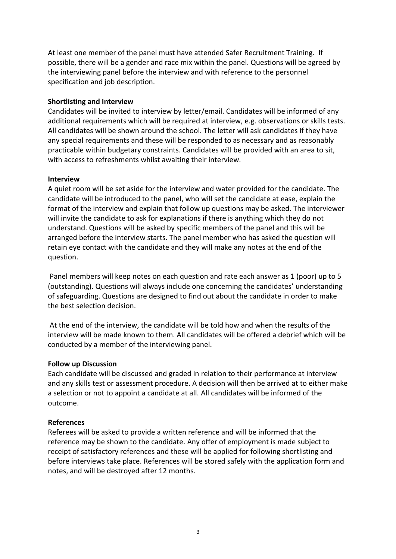At least one member of the panel must have attended Safer Recruitment Training. If possible, there will be a gender and race mix within the panel. Questions will be agreed by the interviewing panel before the interview and with reference to the personnel specification and job description.

## **Shortlisting and Interview**

Candidates will be invited to interview by letter/email. Candidates will be informed of any additional requirements which will be required at interview, e.g. observations or skills tests. All candidates will be shown around the school. The letter will ask candidates if they have any special requirements and these will be responded to as necessary and as reasonably practicable within budgetary constraints. Candidates will be provided with an area to sit, with access to refreshments whilst awaiting their interview.

## **Interview**

A quiet room will be set aside for the interview and water provided for the candidate. The candidate will be introduced to the panel, who will set the candidate at ease, explain the format of the interview and explain that follow up questions may be asked. The interviewer will invite the candidate to ask for explanations if there is anything which they do not understand. Questions will be asked by specific members of the panel and this will be arranged before the interview starts. The panel member who has asked the question will retain eye contact with the candidate and they will make any notes at the end of the question.

Panel members will keep notes on each question and rate each answer as 1 (poor) up to 5 (outstanding). Questions will always include one concerning the candidates' understanding of safeguarding. Questions are designed to find out about the candidate in order to make the best selection decision.

At the end of the interview, the candidate will be told how and when the results of the interview will be made known to them. All candidates will be offered a debrief which will be conducted by a member of the interviewing panel.

## **Follow up Discussion**

Each candidate will be discussed and graded in relation to their performance at interview and any skills test or assessment procedure. A decision will then be arrived at to either make a selection or not to appoint a candidate at all. All candidates will be informed of the outcome.

## **References**

Referees will be asked to provide a written reference and will be informed that the reference may be shown to the candidate. Any offer of employment is made subject to receipt of satisfactory references and these will be applied for following shortlisting and before interviews take place. References will be stored safely with the application form and notes, and will be destroyed after 12 months.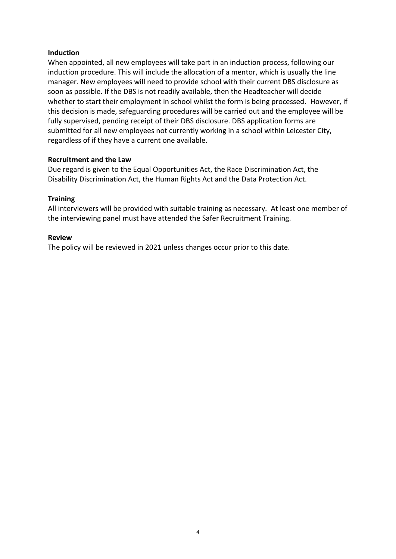## **Induction**

When appointed, all new employees will take part in an induction process, following our induction procedure. This will include the allocation of a mentor, which is usually the line manager. New employees will need to provide school with their current DBS disclosure as soon as possible. If the DBS is not readily available, then the Headteacher will decide whether to start their employment in school whilst the form is being processed. However, if this decision is made, safeguarding procedures will be carried out and the employee will be fully supervised, pending receipt of their DBS disclosure. DBS application forms are submitted for all new employees not currently working in a school within Leicester City, regardless of if they have a current one available.

## **Recruitment and the Law**

Due regard is given to the Equal Opportunities Act, the Race Discrimination Act, the Disability Discrimination Act, the Human Rights Act and the Data Protection Act.

## **Training**

All interviewers will be provided with suitable training as necessary. At least one member of the interviewing panel must have attended the Safer Recruitment Training.

## **Review**

The policy will be reviewed in 2021 unless changes occur prior to this date.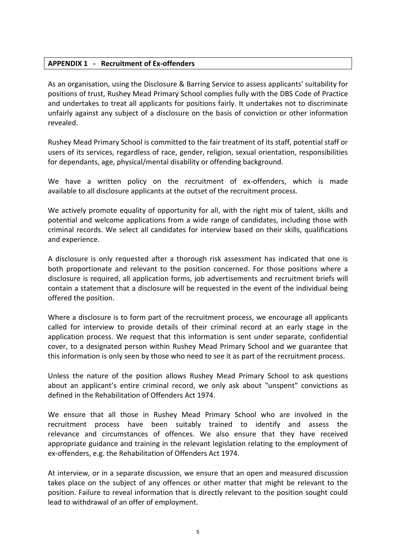## **APPENDIX 1 - Recruitment of Ex-offenders**

As an organisation, using the Disclosure & Barring Service to assess applicants' suitability for positions of trust, Rushey Mead Primary School complies fully with the DBS Code of Practice and undertakes to treat all applicants for positions fairly. It undertakes not to discriminate unfairly against any subject of a disclosure on the basis of conviction or other information revealed.

Rushey Mead Primary School is committed to the fair treatment of its staff, potential staff or users of its services, regardless of race, gender, religion, sexual orientation, responsibilities for dependants, age, physical/mental disability or offending background.

We have a written policy on the recruitment of ex-offenders, which is made available to all disclosure applicants at the outset of the recruitment process.

We actively promote equality of opportunity for all, with the right mix of talent, skills and potential and welcome applications from a wide range of candidates, including those with criminal records. We select all candidates for interview based on their skills, qualifications and experience.

A disclosure is only requested after a thorough risk assessment has indicated that one is both proportionate and relevant to the position concerned. For those positions where a disclosure is required, all application forms, job advertisements and recruitment briefs will contain a statement that a disclosure will be requested in the event of the individual being offered the position.

Where a disclosure is to form part of the recruitment process, we encourage all applicants called for interview to provide details of their criminal record at an early stage in the application process. We request that this information is sent under separate, confidential cover, to a designated person within Rushey Mead Primary School and we guarantee that this information is only seen by those who need to see it as part of the recruitment process.

Unless the nature of the position allows Rushey Mead Primary School to ask questions about an applicant's entire criminal record, we only ask about "unspent" convictions as defined in the Rehabilitation of Offenders Act 1974.

We ensure that all those in Rushey Mead Primary School who are involved in the recruitment process have been suitably trained to identify and assess the relevance and circumstances of offences. We also ensure that they have received appropriate guidance and training in the relevant legislation relating to the employment of ex-offenders, e.g. the Rehabilitation of Offenders Act 1974.

At interview, or in a separate discussion, we ensure that an open and measured discussion takes place on the subject of any offences or other matter that might be relevant to the position. Failure to reveal information that is directly relevant to the position sought could lead to withdrawal of an offer of employment.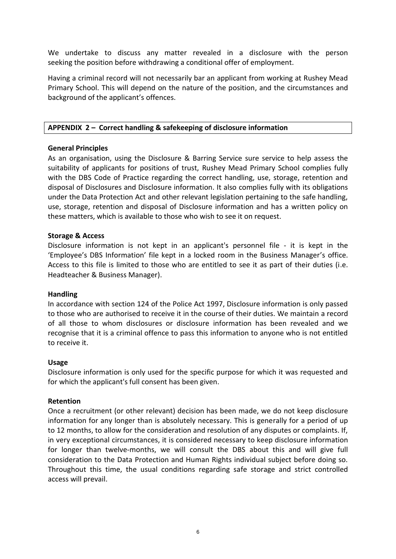We undertake to discuss any matter revealed in a disclosure with the person seeking the position before withdrawing a conditional offer of employment.

Having a criminal record will not necessarily bar an applicant from working at Rushey Mead Primary School. This will depend on the nature of the position, and the circumstances and background of the applicant's offences.

## **APPENDIX 2 – Correct handling & safekeeping of disclosure information**

## **General Principles**

As an organisation, using the Disclosure & Barring Service sure service to help assess the suitability of applicants for positions of trust, Rushey Mead Primary School complies fully with the DBS Code of Practice regarding the correct handling, use, storage, retention and disposal of Disclosures and Disclosure information. It also complies fully with its obligations under the Data Protection Act and other relevant legislation pertaining to the safe handling, use, storage, retention and disposal of Disclosure information and has a written policy on these matters, which is available to those who wish to see it on request.

## **Storage & Access**

Disclosure information is not kept in an applicant's personnel file - it is kept in the 'Employee's DBS Information' file kept in a locked room in the Business Manager's office. Access to this file is limited to those who are entitled to see it as part of their duties (i.e. Headteacher & Business Manager).

## **Handling**

In accordance with section 124 of the Police Act 1997, Disclosure information is only passed to those who are authorised to receive it in the course of their duties. We maintain a record of all those to whom disclosures or disclosure information has been revealed and we recognise that it is a criminal offence to pass this information to anyone who is not entitled to receive it.

## **Usage**

Disclosure information is only used for the specific purpose for which it was requested and for which the applicant's full consent has been given.

## **Retention**

Once a recruitment (or other relevant) decision has been made, we do not keep disclosure information for any longer than is absolutely necessary. This is generally for a period of up to 12 months, to allow for the consideration and resolution of any disputes or complaints. If, in very exceptional circumstances, it is considered necessary to keep disclosure information for longer than twelve-months, we will consult the DBS about this and will give full consideration to the Data Protection and Human Rights individual subject before doing so. Throughout this time, the usual conditions regarding safe storage and strict controlled access will prevail.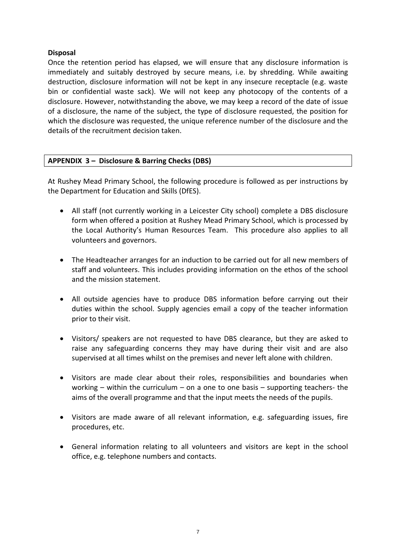# **Disposal**

Once the retention period has elapsed, we will ensure that any disclosure information is immediately and suitably destroyed by secure means, i.e. by shredding. While awaiting destruction, disclosure information will not be kept in any insecure receptacle (e.g. waste bin or confidential waste sack). We will not keep any photocopy of the contents of a disclosure. However, notwithstanding the above, we may keep a record of the date of issue of a disclosure, the name of the subject, the type of disclosure requested, the position for which the disclosure was requested, the unique reference number of the disclosure and the details of the recruitment decision taken.

## **APPENDIX 3 – Disclosure & Barring Checks (DBS)**

At Rushey Mead Primary School, the following procedure is followed as per instructions by the Department for Education and Skills (DfES).

- All staff (not currently working in a Leicester City school) complete a DBS disclosure form when offered a position at Rushey Mead Primary School, which is processed by the Local Authority's Human Resources Team. This procedure also applies to all volunteers and governors.
- The Headteacher arranges for an induction to be carried out for all new members of staff and volunteers. This includes providing information on the ethos of the school and the mission statement.
- All outside agencies have to produce DBS information before carrying out their duties within the school. Supply agencies email a copy of the teacher information prior to their visit.
- Visitors/ speakers are not requested to have DBS clearance, but they are asked to raise any safeguarding concerns they may have during their visit and are also supervised at all times whilst on the premises and never left alone with children.
- Visitors are made clear about their roles, responsibilities and boundaries when working – within the curriculum – on a one to one basis – supporting teachers- the aims of the overall programme and that the input meets the needs of the pupils.
- Visitors are made aware of all relevant information, e.g. safeguarding issues, fire procedures, etc.
- General information relating to all volunteers and visitors are kept in the school office, e.g. telephone numbers and contacts.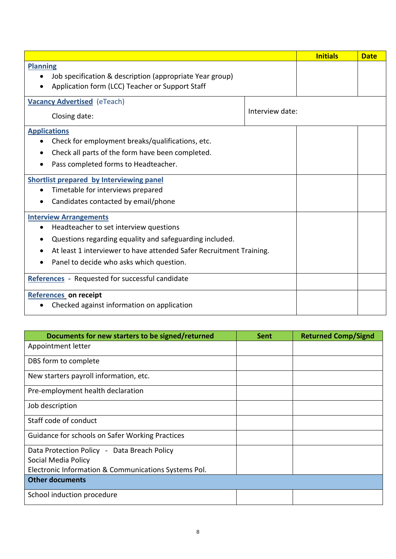|                                                                     |  | <b>Initials</b> | <b>Date</b> |
|---------------------------------------------------------------------|--|-----------------|-------------|
| <b>Planning</b>                                                     |  |                 |             |
| Job specification & description (appropriate Year group)            |  |                 |             |
| Application form (LCC) Teacher or Support Staff                     |  |                 |             |
| <b>Vacancy Advertised</b> (eTeach)                                  |  |                 |             |
| Interview date:<br>Closing date:                                    |  |                 |             |
| <b>Applications</b>                                                 |  |                 |             |
| Check for employment breaks/qualifications, etc.                    |  |                 |             |
| Check all parts of the form have been completed.                    |  |                 |             |
| Pass completed forms to Headteacher.                                |  |                 |             |
| <b>Shortlist prepared by Interviewing panel</b>                     |  |                 |             |
| Timetable for interviews prepared                                   |  |                 |             |
| Candidates contacted by email/phone                                 |  |                 |             |
| <b>Interview Arrangements</b>                                       |  |                 |             |
| Headteacher to set interview questions                              |  |                 |             |
| Questions regarding equality and safeguarding included.             |  |                 |             |
| At least 1 interviewer to have attended Safer Recruitment Training. |  |                 |             |
| Panel to decide who asks which question.                            |  |                 |             |
| References - Requested for successful candidate                     |  |                 |             |
| References on receipt                                               |  |                 |             |
| Checked against information on application                          |  |                 |             |

| Documents for new starters to be signed/returned     | <b>Sent</b> | <b>Returned Comp/Signd</b> |
|------------------------------------------------------|-------------|----------------------------|
| Appointment letter                                   |             |                            |
| DBS form to complete                                 |             |                            |
| New starters payroll information, etc.               |             |                            |
| Pre-employment health declaration                    |             |                            |
| Job description                                      |             |                            |
| Staff code of conduct                                |             |                            |
| Guidance for schools on Safer Working Practices      |             |                            |
| Data Protection Policy - Data Breach Policy          |             |                            |
| Social Media Policy                                  |             |                            |
| Electronic Information & Communications Systems Pol. |             |                            |
| <b>Other documents</b>                               |             |                            |
| School induction procedure                           |             |                            |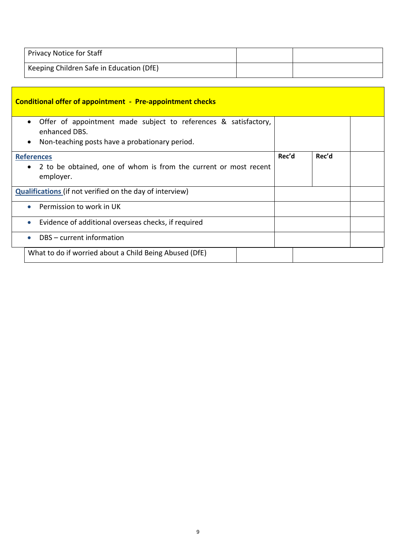| <b>Privacy Notice for Staff</b>          |  |
|------------------------------------------|--|
| Keeping Children Safe in Education (DfE) |  |

|                                                                 | <b>Conditional offer of appointment - Pre-appointment checks</b>                                                                                             |  |       |       |  |
|-----------------------------------------------------------------|--------------------------------------------------------------------------------------------------------------------------------------------------------------|--|-------|-------|--|
|                                                                 | Offer of appointment made subject to references & satisfactory,<br>$\bullet$<br>enhanced DBS.<br>Non-teaching posts have a probationary period.<br>$\bullet$ |  |       |       |  |
|                                                                 | <b>References</b>                                                                                                                                            |  | Rec'd | Rec'd |  |
|                                                                 | 2 to be obtained, one of whom is from the current or most recent<br>$\bullet$<br>employer.                                                                   |  |       |       |  |
| <b>Qualifications</b> (if not verified on the day of interview) |                                                                                                                                                              |  |       |       |  |
|                                                                 | Permission to work in UK<br>$\bullet$                                                                                                                        |  |       |       |  |
|                                                                 | Evidence of additional overseas checks, if required<br>$\bullet$                                                                                             |  |       |       |  |
|                                                                 | DBS - current information<br>$\bullet$                                                                                                                       |  |       |       |  |
|                                                                 | What to do if worried about a Child Being Abused (DfE)                                                                                                       |  |       |       |  |
|                                                                 |                                                                                                                                                              |  |       |       |  |